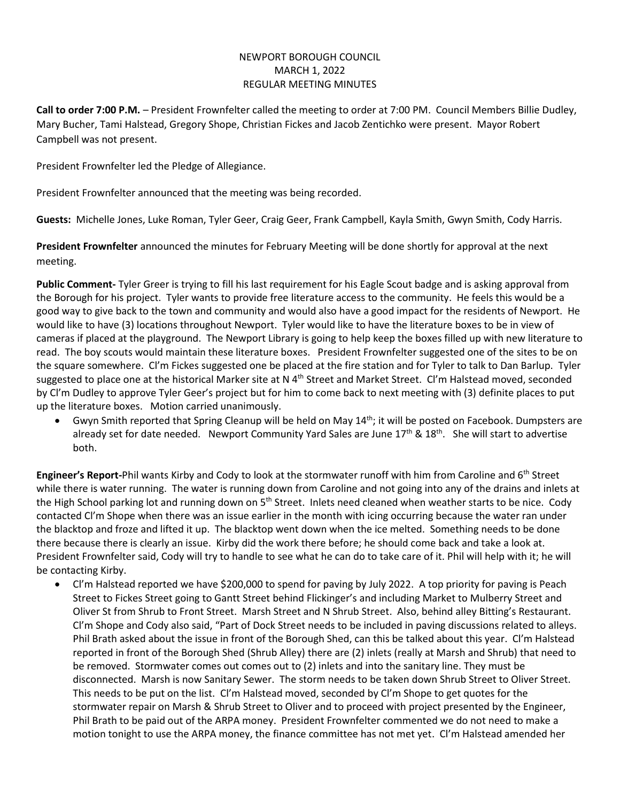## NEWPORT BOROUGH COUNCIL MARCH 1, 2022 REGULAR MEETING MINUTES

**Call to order 7:00 P.M.** – President Frownfelter called the meeting to order at 7:00 PM. Council Members Billie Dudley, Mary Bucher, Tami Halstead, Gregory Shope, Christian Fickes and Jacob Zentichko were present. Mayor Robert Campbell was not present.

President Frownfelter led the Pledge of Allegiance.

President Frownfelter announced that the meeting was being recorded.

**Guests:** Michelle Jones, Luke Roman, Tyler Geer, Craig Geer, Frank Campbell, Kayla Smith, Gwyn Smith, Cody Harris.

**President Frownfelter** announced the minutes for February Meeting will be done shortly for approval at the next meeting.

**Public Comment-** Tyler Greer is trying to fill his last requirement for his Eagle Scout badge and is asking approval from the Borough for his project. Tyler wants to provide free literature access to the community. He feels this would be a good way to give back to the town and community and would also have a good impact for the residents of Newport. He would like to have (3) locations throughout Newport. Tyler would like to have the literature boxes to be in view of cameras if placed at the playground. The Newport Library is going to help keep the boxes filled up with new literature to read. The boy scouts would maintain these literature boxes. President Frownfelter suggested one of the sites to be on the square somewhere. Cl'm Fickes suggested one be placed at the fire station and for Tyler to talk to Dan Barlup. Tyler suggested to place one at the historical Marker site at N 4<sup>th</sup> Street and Market Street. CI'm Halstead moved, seconded by Cl'm Dudley to approve Tyler Geer's project but for him to come back to next meeting with (3) definite places to put up the literature boxes. Motion carried unanimously.

Gwyn Smith reported that Spring Cleanup will be held on May 14<sup>th</sup>; it will be posted on Facebook. Dumpsters are already set for date needed. Newport Community Yard Sales are June 17<sup>th</sup> & 18<sup>th</sup>. She will start to advertise both.

**Engineer's Report-**Phil wants Kirby and Cody to look at the stormwater runoff with him from Caroline and 6th Street while there is water running. The water is running down from Caroline and not going into any of the drains and inlets at the High School parking lot and running down on 5<sup>th</sup> Street. Inlets need cleaned when weather starts to be nice. Cody contacted Cl'm Shope when there was an issue earlier in the month with icing occurring because the water ran under the blacktop and froze and lifted it up. The blacktop went down when the ice melted. Something needs to be done there because there is clearly an issue. Kirby did the work there before; he should come back and take a look at. President Frownfelter said, Cody will try to handle to see what he can do to take care of it. Phil will help with it; he will be contacting Kirby.

• Cl'm Halstead reported we have \$200,000 to spend for paving by July 2022. A top priority for paving is Peach Street to Fickes Street going to Gantt Street behind Flickinger's and including Market to Mulberry Street and Oliver St from Shrub to Front Street. Marsh Street and N Shrub Street. Also, behind alley Bitting's Restaurant. Cl'm Shope and Cody also said, "Part of Dock Street needs to be included in paving discussions related to alleys. Phil Brath asked about the issue in front of the Borough Shed, can this be talked about this year. Cl'm Halstead reported in front of the Borough Shed (Shrub Alley) there are (2) inlets (really at Marsh and Shrub) that need to be removed. Stormwater comes out comes out to (2) inlets and into the sanitary line. They must be disconnected. Marsh is now Sanitary Sewer. The storm needs to be taken down Shrub Street to Oliver Street. This needs to be put on the list. Cl'm Halstead moved, seconded by Cl'm Shope to get quotes for the stormwater repair on Marsh & Shrub Street to Oliver and to proceed with project presented by the Engineer, Phil Brath to be paid out of the ARPA money. President Frownfelter commented we do not need to make a motion tonight to use the ARPA money, the finance committee has not met yet. Cl'm Halstead amended her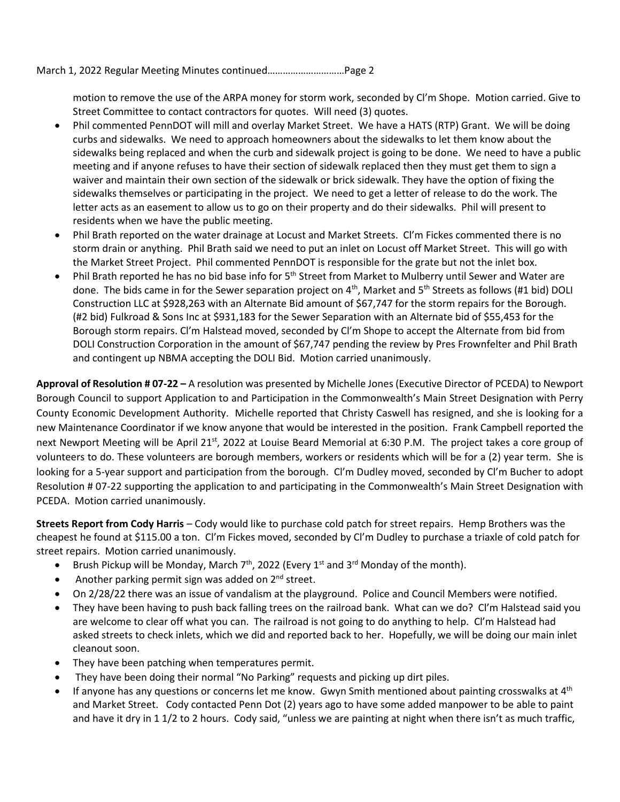March 1, 2022 Regular Meeting Minutes continued…………………………Page 2

motion to remove the use of the ARPA money for storm work, seconded by Cl'm Shope. Motion carried. Give to Street Committee to contact contractors for quotes. Will need (3) quotes.

- Phil commented PennDOT will mill and overlay Market Street. We have a HATS (RTP) Grant. We will be doing curbs and sidewalks. We need to approach homeowners about the sidewalks to let them know about the sidewalks being replaced and when the curb and sidewalk project is going to be done. We need to have a public meeting and if anyone refuses to have their section of sidewalk replaced then they must get them to sign a waiver and maintain their own section of the sidewalk or brick sidewalk. They have the option of fixing the sidewalks themselves or participating in the project. We need to get a letter of release to do the work. The letter acts as an easement to allow us to go on their property and do their sidewalks. Phil will present to residents when we have the public meeting.
- Phil Brath reported on the water drainage at Locust and Market Streets. Cl'm Fickes commented there is no storm drain or anything. Phil Brath said we need to put an inlet on Locust off Market Street. This will go with the Market Street Project. Phil commented PennDOT is responsible for the grate but not the inlet box.
- Phil Brath reported he has no bid base info for 5<sup>th</sup> Street from Market to Mulberry until Sewer and Water are done. The bids came in for the Sewer separation project on 4<sup>th</sup>, Market and 5<sup>th</sup> Streets as follows (#1 bid) DOLI Construction LLC at \$928,263 with an Alternate Bid amount of \$67,747 for the storm repairs for the Borough. (#2 bid) Fulkroad & Sons Inc at \$931,183 for the Sewer Separation with an Alternate bid of \$55,453 for the Borough storm repairs. Cl'm Halstead moved, seconded by Cl'm Shope to accept the Alternate from bid from DOLI Construction Corporation in the amount of \$67,747 pending the review by Pres Frownfelter and Phil Brath and contingent up NBMA accepting the DOLI Bid. Motion carried unanimously.

**Approval of Resolution # 07-22 –** A resolution was presented by Michelle Jones (Executive Director of PCEDA) to Newport Borough Council to support Application to and Participation in the Commonwealth's Main Street Designation with Perry County Economic Development Authority. Michelle reported that Christy Caswell has resigned, and she is looking for a new Maintenance Coordinator if we know anyone that would be interested in the position. Frank Campbell reported the next Newport Meeting will be April 21<sup>st</sup>, 2022 at Louise Beard Memorial at 6:30 P.M. The project takes a core group of volunteers to do. These volunteers are borough members, workers or residents which will be for a (2) year term. She is looking for a 5-year support and participation from the borough. Cl'm Dudley moved, seconded by Cl'm Bucher to adopt Resolution # 07-22 supporting the application to and participating in the Commonwealth's Main Street Designation with PCEDA. Motion carried unanimously.

**Streets Report from Cody Harris** – Cody would like to purchase cold patch for street repairs. Hemp Brothers was the cheapest he found at \$115.00 a ton. Cl'm Fickes moved, seconded by Cl'm Dudley to purchase a triaxle of cold patch for street repairs. Motion carried unanimously.

- Brush Pickup will be Monday, March  $7<sup>th</sup>$ , 2022 (Every 1<sup>st</sup> and 3<sup>rd</sup> Monday of the month).
- Another parking permit sign was added on  $2<sup>nd</sup>$  street.
- On 2/28/22 there was an issue of vandalism at the playground. Police and Council Members were notified.
- They have been having to push back falling trees on the railroad bank. What can we do? Cl'm Halstead said you are welcome to clear off what you can. The railroad is not going to do anything to help. CI'm Halstead had asked streets to check inlets, which we did and reported back to her. Hopefully, we will be doing our main inlet cleanout soon.
- They have been patching when temperatures permit.
- They have been doing their normal "No Parking" requests and picking up dirt piles.
- If anyone has any questions or concerns let me know. Gwyn Smith mentioned about painting crosswalks at  $4<sup>th</sup>$ and Market Street. Cody contacted Penn Dot (2) years ago to have some added manpower to be able to paint and have it dry in 1 1/2 to 2 hours. Cody said, "unless we are painting at night when there isn't as much traffic,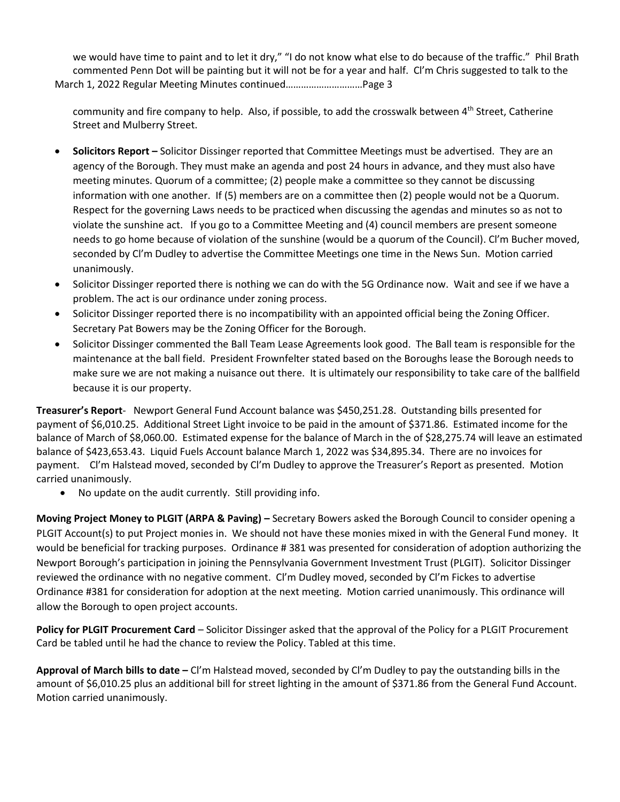we would have time to paint and to let it dry," "I do not know what else to do because of the traffic." Phil Brath commented Penn Dot will be painting but it will not be for a year and half. Cl'm Chris suggested to talk to the March 1, 2022 Regular Meeting Minutes continued…………………………Page 3

community and fire company to help. Also, if possible, to add the crosswalk between  $4<sup>th</sup>$  Street, Catherine Street and Mulberry Street.

- **Solicitors Report –** Solicitor Dissinger reported that Committee Meetings must be advertised. They are an agency of the Borough. They must make an agenda and post 24 hours in advance, and they must also have meeting minutes. Quorum of a committee; (2) people make a committee so they cannot be discussing information with one another. If (5) members are on a committee then (2) people would not be a Quorum. Respect for the governing Laws needs to be practiced when discussing the agendas and minutes so as not to violate the sunshine act. If you go to a Committee Meeting and (4) council members are present someone needs to go home because of violation of the sunshine (would be a quorum of the Council). Cl'm Bucher moved, seconded by Cl'm Dudley to advertise the Committee Meetings one time in the News Sun. Motion carried unanimously.
- Solicitor Dissinger reported there is nothing we can do with the 5G Ordinance now. Wait and see if we have a problem. The act is our ordinance under zoning process.
- Solicitor Dissinger reported there is no incompatibility with an appointed official being the Zoning Officer. Secretary Pat Bowers may be the Zoning Officer for the Borough.
- Solicitor Dissinger commented the Ball Team Lease Agreements look good. The Ball team is responsible for the maintenance at the ball field. President Frownfelter stated based on the Boroughs lease the Borough needs to make sure we are not making a nuisance out there. It is ultimately our responsibility to take care of the ballfield because it is our property.

**Treasurer's Report**- Newport General Fund Account balance was \$450,251.28. Outstanding bills presented for payment of \$6,010.25. Additional Street Light invoice to be paid in the amount of \$371.86. Estimated income for the balance of March of \$8,060.00. Estimated expense for the balance of March in the of \$28,275.74 will leave an estimated balance of \$423,653.43. Liquid Fuels Account balance March 1, 2022 was \$34,895.34. There are no invoices for payment. Cl'm Halstead moved, seconded by Cl'm Dudley to approve the Treasurer's Report as presented. Motion carried unanimously.

• No update on the audit currently. Still providing info.

**Moving Project Money to PLGIT (ARPA & Paving) –** Secretary Bowers asked the Borough Council to consider opening a PLGIT Account(s) to put Project monies in. We should not have these monies mixed in with the General Fund money. It would be beneficial for tracking purposes. Ordinance # 381 was presented for consideration of adoption authorizing the Newport Borough's participation in joining the Pennsylvania Government Investment Trust (PLGIT). Solicitor Dissinger reviewed the ordinance with no negative comment. Cl'm Dudley moved, seconded by Cl'm Fickes to advertise Ordinance #381 for consideration for adoption at the next meeting. Motion carried unanimously. This ordinance will allow the Borough to open project accounts.

**Policy for PLGIT Procurement Card** – Solicitor Dissinger asked that the approval of the Policy for a PLGIT Procurement Card be tabled until he had the chance to review the Policy. Tabled at this time.

**Approval of March bills to date –** Cl'm Halstead moved, seconded by Cl'm Dudley to pay the outstanding bills in the amount of \$6,010.25 plus an additional bill for street lighting in the amount of \$371.86 from the General Fund Account. Motion carried unanimously.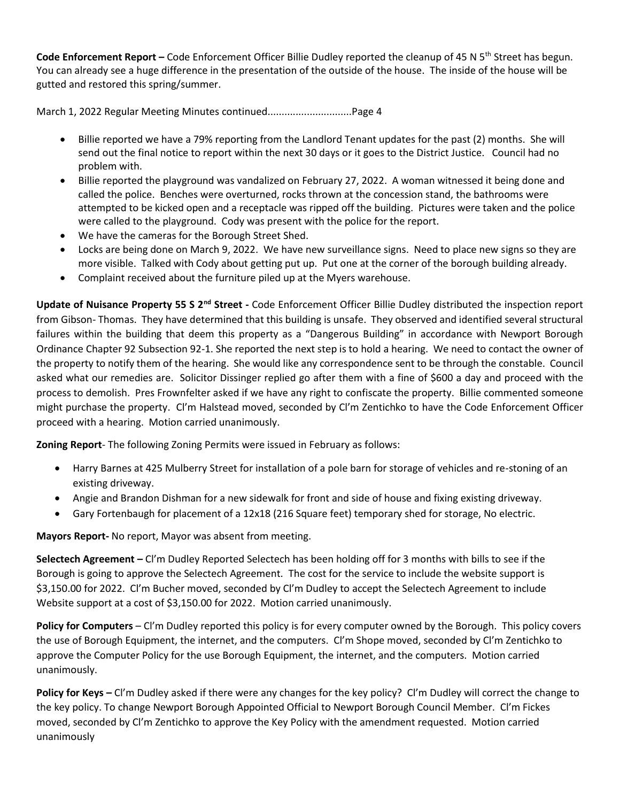**Code Enforcement Report** – Code Enforcement Officer Billie Dudley reported the cleanup of 45 N 5<sup>th</sup> Street has begun. You can already see a huge difference in the presentation of the outside of the house. The inside of the house will be gutted and restored this spring/summer.

March 1, 2022 Regular Meeting Minutes continued..............................Page 4

- Billie reported we have a 79% reporting from the Landlord Tenant updates for the past (2) months. She will send out the final notice to report within the next 30 days or it goes to the District Justice. Council had no problem with.
- Billie reported the playground was vandalized on February 27, 2022. A woman witnessed it being done and called the police. Benches were overturned, rocks thrown at the concession stand, the bathrooms were attempted to be kicked open and a receptacle was ripped off the building. Pictures were taken and the police were called to the playground. Cody was present with the police for the report.
- We have the cameras for the Borough Street Shed.
- Locks are being done on March 9, 2022. We have new surveillance signs. Need to place new signs so they are more visible. Talked with Cody about getting put up. Put one at the corner of the borough building already.
- Complaint received about the furniture piled up at the Myers warehouse.

**Update of Nuisance Property 55 S 2nd Street -** Code Enforcement Officer Billie Dudley distributed the inspection report from Gibson- Thomas. They have determined that this building is unsafe. They observed and identified several structural failures within the building that deem this property as a "Dangerous Building" in accordance with Newport Borough Ordinance Chapter 92 Subsection 92-1. She reported the next step is to hold a hearing. We need to contact the owner of the property to notify them of the hearing. She would like any correspondence sent to be through the constable. Council asked what our remedies are. Solicitor Dissinger replied go after them with a fine of \$600 a day and proceed with the process to demolish. Pres Frownfelter asked if we have any right to confiscate the property. Billie commented someone might purchase the property. Cl'm Halstead moved, seconded by Cl'm Zentichko to have the Code Enforcement Officer proceed with a hearing. Motion carried unanimously.

**Zoning Report**- The following Zoning Permits were issued in February as follows:

- Harry Barnes at 425 Mulberry Street for installation of a pole barn for storage of vehicles and re-stoning of an existing driveway.
- Angie and Brandon Dishman for a new sidewalk for front and side of house and fixing existing driveway.
- Gary Fortenbaugh for placement of a 12x18 (216 Square feet) temporary shed for storage, No electric.

**Mayors Report-** No report, Mayor was absent from meeting.

**Selectech Agreement –** Cl'm Dudley Reported Selectech has been holding off for 3 months with bills to see if the Borough is going to approve the Selectech Agreement. The cost for the service to include the website support is \$3,150.00 for 2022. Cl'm Bucher moved, seconded by Cl'm Dudley to accept the Selectech Agreement to include Website support at a cost of \$3,150.00 for 2022. Motion carried unanimously.

**Policy for Computers** – CI'm Dudley reported this policy is for every computer owned by the Borough. This policy covers the use of Borough Equipment, the internet, and the computers. Cl'm Shope moved, seconded by Cl'm Zentichko to approve the Computer Policy for the use Borough Equipment, the internet, and the computers. Motion carried unanimously.

**Policy for Keys –** Cl'm Dudley asked if there were any changes for the key policy? Cl'm Dudley will correct the change to the key policy. To change Newport Borough Appointed Official to Newport Borough Council Member. Cl'm Fickes moved, seconded by Cl'm Zentichko to approve the Key Policy with the amendment requested. Motion carried unanimously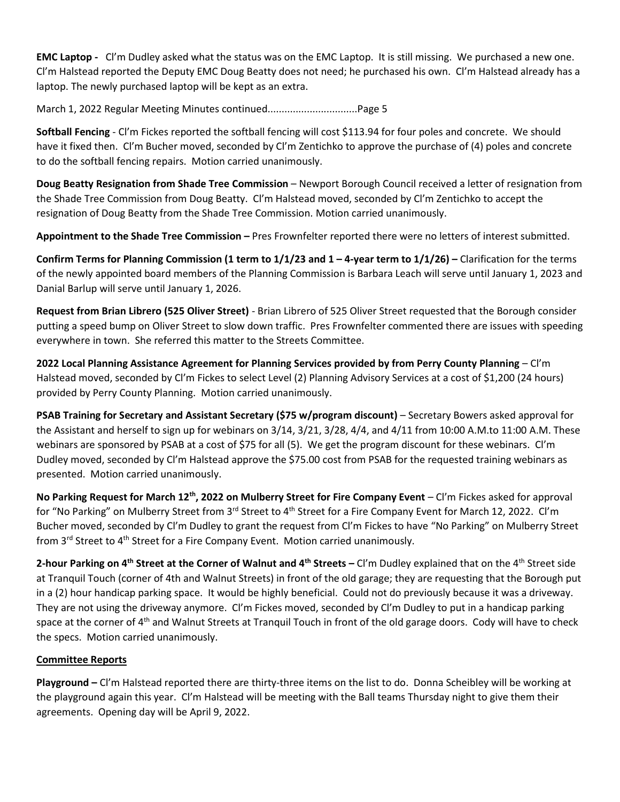**EMC Laptop -** Cl'm Dudley asked what the status was on the EMC Laptop. It is still missing. We purchased a new one. Cl'm Halstead reported the Deputy EMC Doug Beatty does not need; he purchased his own. Cl'm Halstead already has a laptop. The newly purchased laptop will be kept as an extra.

March 1, 2022 Regular Meeting Minutes continued................................Page 5

**Softball Fencing** - Cl'm Fickes reported the softball fencing will cost \$113.94 for four poles and concrete. We should have it fixed then. Cl'm Bucher moved, seconded by Cl'm Zentichko to approve the purchase of (4) poles and concrete to do the softball fencing repairs. Motion carried unanimously.

**Doug Beatty Resignation from Shade Tree Commission** – Newport Borough Council received a letter of resignation from the Shade Tree Commission from Doug Beatty. Cl'm Halstead moved, seconded by Cl'm Zentichko to accept the resignation of Doug Beatty from the Shade Tree Commission. Motion carried unanimously.

**Appointment to the Shade Tree Commission –** Pres Frownfelter reported there were no letters of interest submitted.

**Confirm Terms for Planning Commission (1 term to 1/1/23 and 1 – 4-year term to 1/1/26) –** Clarification for the terms of the newly appointed board members of the Planning Commission is Barbara Leach will serve until January 1, 2023 and Danial Barlup will serve until January 1, 2026.

**Request from Brian Librero (525 Oliver Street)** - Brian Librero of 525 Oliver Street requested that the Borough consider putting a speed bump on Oliver Street to slow down traffic. Pres Frownfelter commented there are issues with speeding everywhere in town. She referred this matter to the Streets Committee.

**2022 Local Planning Assistance Agreement for Planning Services provided by from Perry County Planning** – Cl'm Halstead moved, seconded by Cl'm Fickes to select Level (2) Planning Advisory Services at a cost of \$1,200 (24 hours) provided by Perry County Planning. Motion carried unanimously.

**PSAB Training for Secretary and Assistant Secretary (\$75 w/program discount)** – Secretary Bowers asked approval for the Assistant and herself to sign up for webinars on 3/14, 3/21, 3/28, 4/4, and 4/11 from 10:00 A.M.to 11:00 A.M. These webinars are sponsored by PSAB at a cost of \$75 for all (5). We get the program discount for these webinars. Cl'm Dudley moved, seconded by Cl'm Halstead approve the \$75.00 cost from PSAB for the requested training webinars as presented. Motion carried unanimously.

**No Parking Request for March 12th, 2022 on Mulberry Street for Fire Company Event** – Cl'm Fickes asked for approval for "No Parking" on Mulberry Street from 3<sup>rd</sup> Street to 4<sup>th</sup> Street for a Fire Company Event for March 12, 2022. Cl'm Bucher moved, seconded by Cl'm Dudley to grant the request from Cl'm Fickes to have "No Parking" on Mulberry Street from 3<sup>rd</sup> Street to 4<sup>th</sup> Street for a Fire Company Event. Motion carried unanimously.

**2-hour Parking on 4th Street at the Corner of Walnut and 4th Streets –** Cl'm Dudley explained that on the 4th Street side at Tranquil Touch (corner of 4th and Walnut Streets) in front of the old garage; they are requesting that the Borough put in a (2) hour handicap parking space. It would be highly beneficial. Could not do previously because it was a driveway. They are not using the driveway anymore. Cl'm Fickes moved, seconded by Cl'm Dudley to put in a handicap parking space at the corner of 4<sup>th</sup> and Walnut Streets at Tranquil Touch in front of the old garage doors. Cody will have to check the specs. Motion carried unanimously.

## **Committee Reports**

**Playground –** Cl'm Halstead reported there are thirty-three items on the list to do. Donna Scheibley will be working at the playground again this year. Cl'm Halstead will be meeting with the Ball teams Thursday night to give them their agreements. Opening day will be April 9, 2022.